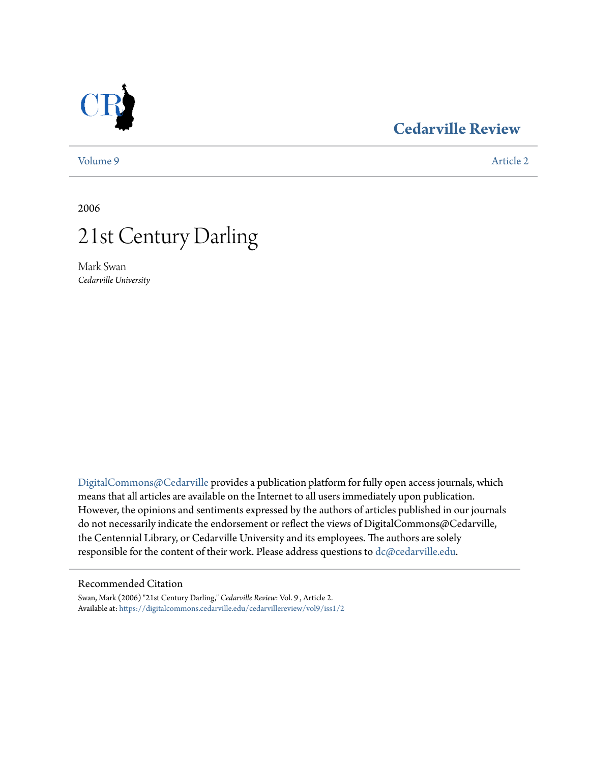

## **[Cedarville Review](https://digitalcommons.cedarville.edu/cedarvillereview?utm_source=digitalcommons.cedarville.edu%2Fcedarvillereview%2Fvol9%2Fiss1%2F2&utm_medium=PDF&utm_campaign=PDFCoverPages)**

[Volume 9](https://digitalcommons.cedarville.edu/cedarvillereview/vol9?utm_source=digitalcommons.cedarville.edu%2Fcedarvillereview%2Fvol9%2Fiss1%2F2&utm_medium=PDF&utm_campaign=PDFCoverPages) [Article 2](https://digitalcommons.cedarville.edu/cedarvillereview/vol9/iss1/2?utm_source=digitalcommons.cedarville.edu%2Fcedarvillereview%2Fvol9%2Fiss1%2F2&utm_medium=PDF&utm_campaign=PDFCoverPages)

2006



Mark Swan *Cedarville University*

[DigitalCommons@Cedarville](http://digitalcommons.cedarville.edu) provides a publication platform for fully open access journals, which means that all articles are available on the Internet to all users immediately upon publication. However, the opinions and sentiments expressed by the authors of articles published in our journals do not necessarily indicate the endorsement or reflect the views of DigitalCommons@Cedarville, the Centennial Library, or Cedarville University and its employees. The authors are solely responsible for the content of their work. Please address questions to [dc@cedarville.edu](mailto:dc@cedarville.edu).

## Recommended Citation

Swan, Mark (2006) "21st Century Darling," *Cedarville Review*: Vol. 9 , Article 2. Available at: [https://digitalcommons.cedarville.edu/cedarvillereview/vol9/iss1/2](https://digitalcommons.cedarville.edu/cedarvillereview/vol9/iss1/2?utm_source=digitalcommons.cedarville.edu%2Fcedarvillereview%2Fvol9%2Fiss1%2F2&utm_medium=PDF&utm_campaign=PDFCoverPages)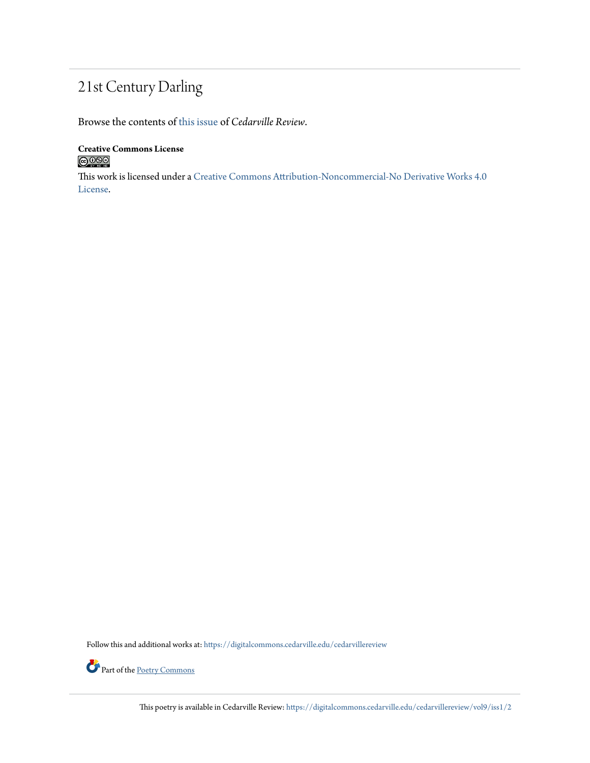## 21st Century Darling

Browse the contents of [this issue](https://digitalcommons.cedarville.edu/cedarvillereview/vol9/iss1) of *Cedarville Review*.

**Creative Commons License**  $\bigcirc$  000

This work is licensed under a [Creative Commons Attribution-Noncommercial-No Derivative Works 4.0](http://creativecommons.org/licenses/by-nc-nd/4.0/) [License.](http://creativecommons.org/licenses/by-nc-nd/4.0/)

Follow this and additional works at: [https://digitalcommons.cedarville.edu/cedarvillereview](https://digitalcommons.cedarville.edu/cedarvillereview?utm_source=digitalcommons.cedarville.edu%2Fcedarvillereview%2Fvol9%2Fiss1%2F2&utm_medium=PDF&utm_campaign=PDFCoverPages)



Part of the <u>[Poetry Commons](http://network.bepress.com/hgg/discipline/1153?utm_source=digitalcommons.cedarville.edu%2Fcedarvillereview%2Fvol9%2Fiss1%2F2&utm_medium=PDF&utm_campaign=PDFCoverPages)</u>

This poetry is available in Cedarville Review: [https://digitalcommons.cedarville.edu/cedarvillereview/vol9/iss1/2](https://digitalcommons.cedarville.edu/cedarvillereview/vol9/iss1/2?utm_source=digitalcommons.cedarville.edu%2Fcedarvillereview%2Fvol9%2Fiss1%2F2&utm_medium=PDF&utm_campaign=PDFCoverPages)